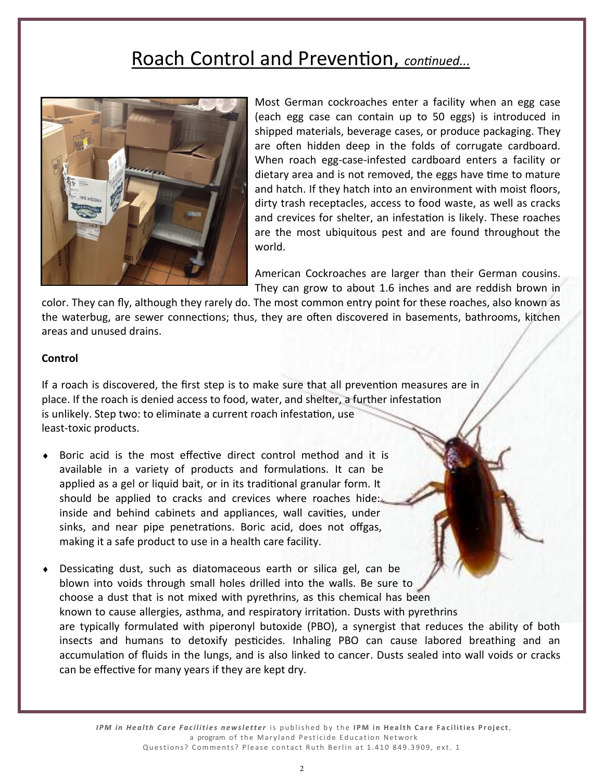

# continued...



Most German cockroaches enter a facility when an egg case each egg case can contain up to 0 eggs is introduced in shipped materials, beverage cases, or produce packaging. They are o en hidden deep in the folds of corrugate cardboard. hen roach egg•  $-\frac{1}{2}$ 

È<br>E ĹΈ ama F ŔE.



**IDE** 

Control